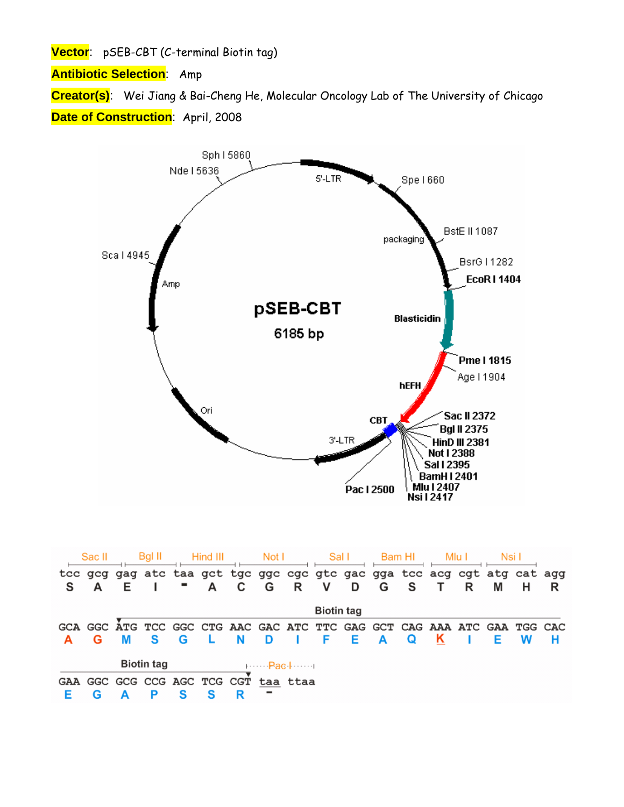**Vector**: pSEB-CBT (C-terminal Biotin tag)

**Antibiotic Selection**: Amp

**Creator(s)**: Wei Jiang & Bai-Cheng He, Molecular Oncology Lab of The University of Chicago **Date of Construction: April, 2008** 



|                                                 | Sac II            |   | BgI II                      |   | Hind III |   |   | Not l    | Sal I |   | Bam HI |   |   | Mlu I | Nsi I |                                                                         |   |
|-------------------------------------------------|-------------------|---|-----------------------------|---|----------|---|---|----------|-------|---|--------|---|---|-------|-------|-------------------------------------------------------------------------|---|
|                                                 |                   |   |                             |   |          |   |   |          |       |   |        |   |   |       |       | tcc gcg gag atc taa gct tgc ggc cgc gtc gac gga tcc acg cgt atg cat agg |   |
| s                                               |                   | Е |                             |   | A        | C | G | R        | v     | D | G      | S |   | R     | М     | н                                                                       | R |
|                                                 | <b>Biotin tag</b> |   |                             |   |          |   |   |          |       |   |        |   |   |       |       |                                                                         |   |
|                                                 |                   |   |                             |   |          |   |   |          |       |   |        |   |   |       |       | GCA GGC ATG TCC GGC CTG AAC GAC ATC TTC GAG GCT CAG AAA ATC GAA TGG CAC |   |
|                                                 | G                 | м | s                           | G |          | N | D |          | F     | Е | A      | Q | ĸ |       | Е     | w                                                                       | н |
| <b>Biotin tag</b><br>$1 \cdots P$ ac $1 \cdots$ |                   |   |                             |   |          |   |   |          |       |   |        |   |   |       |       |                                                                         |   |
|                                                 |                   |   | GAA GGC GCG CCG AGC TCG CGT |   |          |   |   | taa ttaa |       |   |        |   |   |       |       |                                                                         |   |
|                                                 |                   |   | Р                           | s |          | R |   |          |       |   |        |   |   |       |       |                                                                         |   |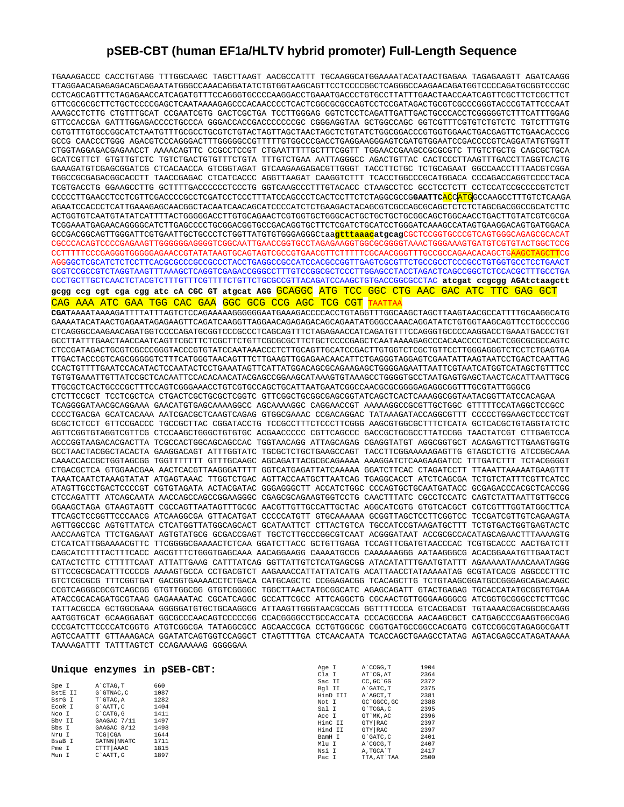## **pSEB-CBT (human EF1a/HLTV hybrid promoter) Full-Length Sequence**

TGAAAGACCC CACCTGTAGG TTTGGCAAGC TAGCTTAAGT AACGCCATTT TGCAAGGCATGGAAAATACATAACTGAGAA TAGAGAAGTT AGATCAAGG TTAGGAACAGAGAGACAGCAGAATATGGGCCAAACAGGATATCTGTGGTAAGCAGTTCCTCCCCGGCTCAGGGCCAAGAACAGATGGTCCCCAGATGCGGTCCCGC CCTCAGCAGTTTCTAGAGAACCATCAGATGTTTCCAGGGTGCCCCAAGGACCTGAAATGACCCTGTGCCTTATTTGAACTAACCAATCAGTTCGCTTCTCGCTTCT GTTCGCGCGCTTCTGCTCCCCGAGCTCAATAAAAGAGCCCACAACCCCTCACTCGGCGCGCCAGTCCTCCGATAGACTGCGTCGCCCGGGTACCCGTATTCCCAAT AAAGCCTCTTG CTGTTTGCAT CCGAATCGTG GACTCGCTGA TCCTTGGGAG GGTCTCCTCAGATTGATTGACTGCCCACCTCGGGGGTCTTTCATTTGGAG GTTCCACCGA GATTTGGAGACCCCTGCCCA GGGACCACCGACCCCCCCGC CGGGAGGTAA GCTGGCCAGC GGTCGTTTCGTGTCTGTCTC TGTCTTTGTG CGTGTTTGTGCCGGCATCTAATGTTTGCGCCTGCGTCTGTACTAGTTAGCTAACTAGCTCTGTATCTGGCGGACCCGTGGTGGAACTGACGAGTTCTGAACACCCG GCCG CAACCCTGGG AGACGTCCCAGGGACTTTGGGGGCCGTTTTTGTGGCCCGACCTGAGGAAGGGAGTCGATGTGGAATCCGACCCCGTCAGGATATGTGGTT CTGGTAGGAGACGAGAACCT AAAACAGTTC CCGCCTCCGT CTGAATTTTTGCTTTCGGTT TGGAACCGAAGCCGCGCGTC TTGTCTGCTG CAGCGCTGCA GCATCGTTCT GTGTTGTCTC TGTCTGACTGTGTTTCTGTA TTTGTCTGAA AATTAGGGCC AGACTGTTAC CACTCCCTTAAGTTTGACCTTAGGTCACTG GAAAGATGTCGAGCGGATCG CTCACAACCA GTCGGTAGAT GTCAAGAAGAGACGTTGGGT TACCTTCTGC TCTGCAGAAT GGCCAACCTTTAACGTCGGA TGGCCGCGAGACGGCACCTT TAACCGAGAC CTCATCACCC AGGTTAAGAT CAAGGTCTTT TCACCTGGCCCGCATGGACA CCCAGACCAGGTCCCCTACA TCGTGACCTG GGAAGCCTTG GCTTTTGACCCCCCTCCCTG GGTCAAGCCCTTTGTACACC CTAAGCCTCC GCCTCCTCTT CCTCCATCCGCCCCGTCTCT CCCCCTTGAACCTCCTCGTTCGACCCCGCCTCGATCCTCCCTTTATCCAGCCCTCACTCCTTCTCTAGGCGCCG**GAATTC**ACCATGGCCAAGCCTTTGTCTCAAGA AGAATCCACCCTCATTGAAAGAGCAACGGCTACAATCAACAGCATCCCCATCTCTGAAGACTACAGCGTCGCCAGCGCAGCTCTCTCTAGCGACGGCCGCATCTTC ACTGGTGTCAATGTATATCATTTTACTGGGGGACCTTGTGCAGAACTCGTGGTGCTGGGCACTGCTGCTGCTGCGGCAGCTGGCAACCTGACTTGTATCGTCGCGA TCGGAAATGAGAACAGGGGCATCTTGAGCCCCTGCGGACGGTGCCGACAGGTGCTTCTCGATCTGCATCCTGGGATCAAAGCCATAGTGAAGGACAGTGATGGACA GCCGACGGCAGTTGGGATTCGTGAATTGCTGCCCTCTGGTTATGTGTGGGAGGGCtaa**gtttaaacatgcag**CGCTCCGGTGCCCGTCAGTGGGCAGAGCGCACAT CGCCCACAGTCCCCGAGAAGTTGGGGGGAGGGGTCGGCAATTGAACCGGTGCCTAGAGAAGGTGGCGCGGGGTAAACTGGGAAAGTGATGTCGTGTACTGGCTCCG CCTTTTTCCCGAGGGTGGGGGAGAACCGTATATAAGTGCAGTAGTCGCCGTGAACGTTCTTTTTCGCAACGGGTTTGCCGCCAGAACACAGCTGAAGCTAGCTTCG AGGGGCTCGCATCTCTCCTTCACGCGCCCGCCGCCCTACCTGAGGCCGCCATCCACGCCGGTTGAGTCGCGTTCTGCCGCCTCCCGCCTGTGGTGCCTCCTGAACT GCGTCCGCCGTCTAGGTAAGTTTAAAGCTCAGGTCGAGACCGGGCCTTTGTCCGGCGCTCCCTTGGAGCCTACCTAGACTCAGCCGGCTCTCCACGCTTTGCCTGA CCCTGCTTGCTCAACTCTACGTCTTTGTTTCGTTTTCTGTTCTGCGCCGTTACAGATCCAAGCTGTGACCGGCGCCTAC **atcgat ccgcgg AGAtctaagctt gcgg ccg cgt cga cgg atc cA CGC GT atgcat AGG** GCAGGC ATG TCC GGC CTG AAC GAC ATC TTC GAG GCT

CAG AAA ATC GAA TGG CAC GAA GGC GCG CCG AGC TCG CGT TAATTAA

**CGAT**AAAATAAAAGATTTTATTTAGTCTCCAGAAAAAGGGGGGAATGAAAGACCCCACCTGTAGGTTTGGCAAGCTAGCTTAAGTAACGCCATTTTGCAAGGCATG GAAAATACATAACTGAGAATAGAGAAGTTCAGATCAAGGTTAGGAACAGAGAGACAGCAGAATATGGGCCAAACAGGATATCTGTGGTAAGCAGTTCCTGCCCCGG CTCAGGGCCAAGAACAGATGGTCCCCAGATGCGGTCCCGCCCTCAGCAGTTTCTAGAGAACCATCAGATGTTTCCAGGGTGCCCCAAGGACCTGAAATGACCCTGT GCCTTATTTGAACTAACCAATCAGTTCGCTTCTCGCTTCTGTTCGCGCGCTTCTGCTCCCCGAGCTCAATAAAAGAGCCCACAACCCCTCACTCGGCGCGCCAGTC CTCCGATAGACTGCGTCGCCCGGGTACCCGTGTATCCAATAAACCCTCTTGCAGTTGCATCCGACTTGTGGTCTCGCTGTTCCTTGGGAGGGTCTCCTCTGAGTGA TTGACTACCCGTCAGCGGGGGTCTTTCATGGGTAACAGTTTCTTGAAGTTGGAGAACAACATTCTGAGGGTAGGAGTCGAATATTAAGTAATCCTGACTCAATTAG CCACTGTTTTGAATCCACATACTCCAATACTCCTGAAATAGTTCATTATGGACAGCGCAGAAGAGCTGGGGAGAATTAATTCGTAATCATGGTCATAGCTGTTTCC TGTGTGAAATTGTTATCCGCTCACAATTCCACACAACATACGAGCCGGAAGCATAAAGTGTAAAGCCTGGGGTGCCTAATGAGTGAGCTAACTCACATTAATTGCG TTGCGCTCACTGCCCGCTTTCCAGTCGGGAAACCTGTCGTGCCAGCTGCATTAATGAATCGGCCAACGCGCGGGGAGAGGCGGTTTGCGTATTGGGCG CTCTTCCGCT TCCTCGCTCA CTGACTCGCTGCGCTCGGTC GTTCGGCTGCGGCGAGCGGTATCAGCTCACTCAAAGGCGGTAATACGGTTATCCACAGAA TCAGGGGATAACGCAGGAAA GAACATGTGAGCAAAAGGCC AGCAAAAGGC CAGGAACCGT AAAAAGGCCGCGTTGCTGGC GTTTTTCCATAGGCTCCGCC CCCCTGACGA GCATCACAAA AATCGACGCTCAAGTCAGAG GTGGCGAAAC CCGACAGGAC TATAAAGATACCAGGCGTTT CCCCCTGGAAGCTCCCTCGT GCGCTCTCCT GTTCCGACCC TGCCGCTTAC CGGATACCTG TCCGCCTTTCTCCCTTCGGG AAGCGTGGCGCTTTCTCATA GCTCACGCTGTAGGTATCTC AGTTCGGTGTAGGTCGTTCG CTCCAAGCTGGGCTGTGTGC ACGAACCCCC CGTTCAGCCC GACCGCTGCGCCTTATCCGG TAACTATCGT CTTGAGTCCA ACCCGGTAAGACACGACTTA TCGCCACTGGCAGCAGCCAC TGGTAACAGG ATTAGCAGAG CGAGGTATGT AGGCGGTGCT ACAGAGTTCTTGAAGTGGTG GCCTAACTACGGCTACACTA GAAGGACAGT ATTTGGTATC TGCGCTCTGCTGAAGCCAGT TACCTTCGGAAAAAGAGTTG GTAGCTCTTG ATCCGGCAAA CAAACCACCGCTGGTAGCGG TGGTTTTTTT GTTTGCAAGC AGCAGATTACGCGCAGAAAA AAAGGATCTCAAGAAGATCC TTTGATCTTT TCTACGGGGT CTGACGCTCA GTGGAACGAA AACTCACGTTAAGGGATTTT GGTCATGAGATTATCAAAAA GGATCTTCAC CTAGATCCTT TTAAATTAAAAATGAAGTTT TAAATCAATCTAAAGTATAT ATGAGTAAAC TTGGTCTGAC AGTTACCAATGCTTAATCAG TGAGGCACCT ATCTCAGCGA TCTGTCTATTTCGTTCATCC ATAGTTGCCTGACTCCCCGT CGTGTAGATA ACTACGATAC GGGAGGGCTT ACCATCTGGC CCCAGTGCTGCAATGATACC GCGAGACCCACGCTCACCGG CTCCAGATTT ATCAGCAATA AACCAGCCAGCCGGAAGGGC CGAGCGCAGAAGTGGTCCTG CAACTTTATC CGCCTCCATC CAGTCTATTAATTGTTGCCG GGAAGCTAGA GTAAGTAGTT CGCCAGTTAATAGTTTGCGC AACGTTGTTGCCATTGCTAC AGGCATCGTG GTGTCACGCT CGTCGTTTGGTATGGCTTCA TTCAGCTCCGGTTCCCAACG ATCAAGGCGA GTTACATGAT CCCCCATGTT GTGCAAAAAA GCGGTTAGCTCCTTCGGTCC TCCGATCGTTGTCAGAAGTA AGTTGGCCGC AGTGTTATCA CTCATGGTTATGGCAGCACT GCATAATTCT CTTACTGTCA TGCCATCCGTAAGATGCTTT TCTGTGACTGGTGAGTACTC AACCAAGTCA TTCTGAGAAT AGTGTATGCG GCGACCGAGT TGCTCTTGCCCGGCGTCAAT ACGGGATAAT ACCGCGCCACATAGCAGAACTTTAAAAGTG CTCATCATTGGAAAACGTTC TTCGGGGCGAAAACTCTCAA GGATCTTACC GCTGTTGAGA TCCAGTTCGATGTAACCCAC TCGTGCACCC AACTGATCTT CAGCATCTTTTACTTTCACC AGCGTTTCTGGGTGAGCAAA AACAGGAAGG CAAAATGCCG CAAAAAAGGG AATAAGGGCG ACACGGAAATGTTGAATACT CATACTCTTC CTTTTTCAAT ATTATTGAAG CATTTATCAG GGTTATTGTCTCATGAGCGG ATACATATTTGAATGTATTT AGAAAAATAAACAAATAGGG GTTCCGCGCACATTTCCCCG AAAAGTGCCA CCTGACGTCT AAGAAACCATTATTATCATG ACATTAACCTATAAAAATAG GCGTATCACG AGGCCCTTTC GTCTCGCGCG TTTCGGTGAT GACGGTGAAAACCTCTGACA CATGCAGCTC CCGGAGACGG TCACAGCTTG TCTGTAAGCGGATGCCGGGAGCAGACAAGC CCGTCAGGGCGCGTCAGCGG GTGTTGGCGG GTGTCGGGGC TGGCTTAACTATGCGGCATC AGAGCAGATT GTACTGAGAG TGCACCATATGCGGTGTGAA ATACCGCACAGATGCGTAAG GAGAAAATAC CGCATCAGGC GCCATTCGCC ATTCAGGCTG CGCAACTGTTGGGAAGGGCG ATCGGTGCGGGCCTCTTCGC TATTACGCCA GCTGGCGAAA GGGGGATGTGCTGCAAGGCG ATTAAGTTGGGTAACGCCAG GGTTTTCCCA GTCACGACGT TGTAAAACGACGGCGCAAGG AATGGTGCAT GCAAGGAGAT GGCGCCCAACAGTCCCCCGG CCACGGGGCCTGCCACCATA CCCACGCCGA AACAAGCGCT CATGAGCCCGAAGTGGCGAG CCCGATCTTCCCCATCGGTG ATGTCGGCGA TATAGGCGCC AGCAACCGCA CCTGTGGCGC CGGTGATGCCGGCCACGATG CGTCCGGCGTAGAGGCGATT AGTCCAATTT GTTAAAGACA GGATATCAGTGGTCCAGGCT CTAGTTTTGA CTCAACAATA TCACCAGCTGAAGCCTATAG AGTACGAGCCATAGATAAAA TAAAAGATTT TATTTAGTCT CCAGAAAAAG GGGGGAA

|                                                                                                       |                                                                                                                                                  | Unique enzymes in pSEB-CBT:                                                         | Age I<br>Cla I<br>Sac II                                                                        | A CCGG.T<br>AT CG. AT<br>CC.GC'GG                                                                                        | 1904<br>2364<br>2372                                                         |
|-------------------------------------------------------------------------------------------------------|--------------------------------------------------------------------------------------------------------------------------------------------------|-------------------------------------------------------------------------------------|-------------------------------------------------------------------------------------------------|--------------------------------------------------------------------------------------------------------------------------|------------------------------------------------------------------------------|
| Spe I<br>BstE II<br>BsrG I<br>EcoR I<br>Nco I<br>Bby II<br>Bbs I<br>Nru I<br>BsaB I<br>Pme I<br>Mun I | A CTAG.T<br>G`GTNAC.C<br>T`GTAC.A<br>G`AATT.C<br>$C$ $CATG$ $G$<br>GAAGAC 7/11<br>GAAGAC 8/12<br>TCG CGA<br>GATNN NNATC<br>CTTT AAAC<br>C`AATT.G | 660<br>1087<br>1282<br>1404<br>1411<br>1497<br>1498<br>1644<br>1711<br>1815<br>1897 | Bgl II<br>HinD III<br>Not I<br>Sal I<br>Acc I<br>HinC II<br>Hind II<br>BamH I<br>Mlu I<br>Nsi I | A GATC. T<br>A AGCT.T<br>GC 'GGCC, GC<br>G`TCGA.C<br>GT MK.AC<br>GTY RAC<br>GTY RAC<br>G`GATC.C<br>A CGCG.T<br>A. TGCA'T | 2375<br>2381<br>2388<br>2395<br>2396<br>2397<br>2397<br>2401<br>2407<br>2417 |
|                                                                                                       |                                                                                                                                                  |                                                                                     | Pac I                                                                                           | TTA, AT `TAA                                                                                                             | 2500                                                                         |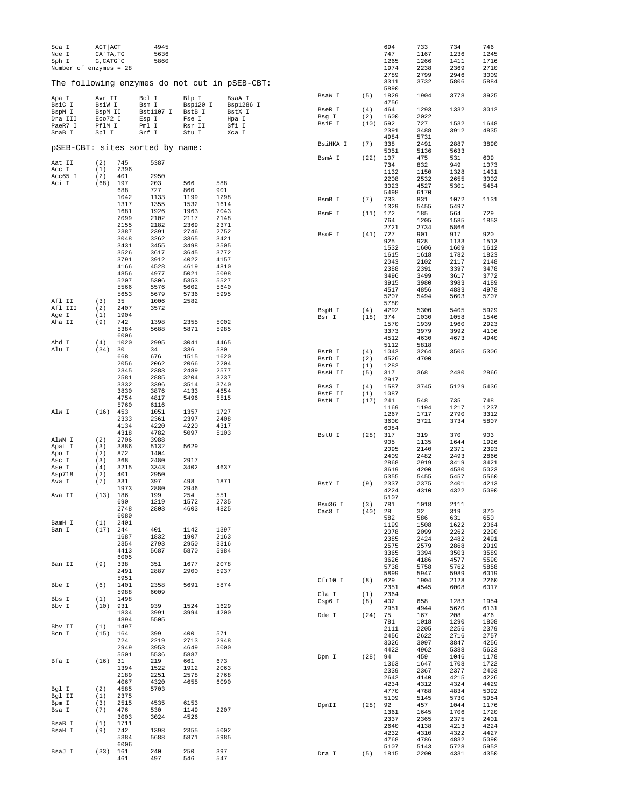| Sca I                                         | AGT ACT         |              | 4945           |                 |              |                |                 |            | 694          | 733          | 734          | 746          |
|-----------------------------------------------|-----------------|--------------|----------------|-----------------|--------------|----------------|-----------------|------------|--------------|--------------|--------------|--------------|
| Nde I                                         | CA`TA, TG       |              | 5636           |                 |              |                |                 |            | 747          | 1167         | 1236         | 1245         |
| Sph I<br>Number of enzymes = $28$             | G, CATG C       |              | 5860           |                 |              |                |                 |            | 1265<br>1974 | 1266<br>2238 | 1411<br>2369 | 1716<br>2710 |
|                                               |                 |              |                |                 |              |                |                 |            | 2789         | 2799         | 2946         | 3009         |
| The following enzymes do not cut in pSEB-CBT: |                 |              |                |                 |              |                |                 |            | 3311         | 3732         | 5806         | 5884         |
|                                               |                 |              |                |                 |              |                |                 |            | 5890         |              |              |              |
| Apa I                                         | Avr II          |              | Bcl I          | Blp I           |              | BsaA I         | BsaW I          | (5)        | 1829         | 1904         | 3778         | 3925         |
| BsiC I                                        | BsiW I          |              | Bsm I          | Bsp120 I        |              | Bsp1286 I      |                 |            | 4756         |              |              |              |
| BspM I                                        | BspM II         |              | Bst1107 I      | BstB I          |              | BstX I         | BseR I<br>Bsg I | (4)<br>(2) | 464<br>1600  | 1293<br>2022 | 1332         | 3012         |
| Dra III                                       | Eco72 I         |              | Esp I          | Fse I           |              | Hpa I          | BsiE I          | (10)       | 592          | 727          | 1532         | 1648         |
| PaeR7 I<br>SnaB I                             | PflM I<br>Spl I |              | Pml I<br>Srf I | Rsr II<br>Stu I |              | Sfi I<br>Xca I |                 |            | 2391         | 3488         | 3912         | 4835         |
|                                               |                 |              |                |                 |              |                |                 |            | 4984         | 5731         |              |              |
| pSEB-CBT: sites sorted by name:               |                 |              |                |                 |              |                | BsiHKA I        | (7)        | 338          | 2491         | 2887         | 3890         |
|                                               |                 |              |                |                 |              |                |                 |            | 5051         | 5136         | 5633         |              |
| Aat II                                        | (2)             | 745          | 5387           |                 |              |                | BsmA I          | (22)       | 107<br>734   | 475          | 531          | 609<br>1073  |
| Acc I                                         | (1)             | 2396         |                |                 |              |                |                 |            | 1132         | 832<br>1150  | 949<br>1328  | 1431         |
| Acc65 I                                       | (2)             | 401          | 2950           |                 |              |                |                 |            | 2208         | 2532         | 2655         | 3002         |
| Aci I                                         | (68)            | 197          | 203            | 566             | 588          |                |                 |            | 3023         | 4527         | 5301         | 5454         |
|                                               |                 | 688          | 727            | 860             | 901          |                |                 |            | 5498         | 6170         |              |              |
|                                               |                 | 1042<br>1317 | 1133<br>1355   | 1199<br>1532    | 1298<br>1614 |                | BsmB I          | (7)        | 733          | 831          | 1072         | 1131         |
|                                               |                 | 1681         | 1926           | 1963            | 2043         |                |                 |            | 1329         | 5455         | 5497         |              |
|                                               |                 | 2099         | 2102           | 2117            | 2148         |                | BsmF I          | (11)       | 172          | 185          | 564          | 729          |
|                                               |                 | 2155         | 2182           | 2369            | 2371         |                |                 |            | 764<br>2721  | 1205<br>2734 | 1585<br>5866 | 1853         |
|                                               |                 | 2387         | 2391           | 2746            | 2752         |                | BsoF I          | (41)       | 727          | 901          | 917          | 920          |
|                                               |                 | 3048         | 3262           | 3365            | 3421         |                |                 |            | 925          | 928          | 1133         | 1513         |
|                                               |                 | 3431         | 3455           | 3498            | 3505         |                |                 |            | 1532         | 1606         | 1609         | 1612         |
|                                               |                 | 3526<br>3791 | 3617<br>3912   | 3645<br>4022    | 3772<br>4157 |                |                 |            | 1615         | 1618         | 1782         | 1823         |
|                                               |                 | 4166         | 4528           | 4619            | 4810         |                |                 |            | 2043         | 2102         | 2117         | 2148         |
|                                               |                 | 4856         | 4977           | 5021            | 5098         |                |                 |            | 2388<br>3496 | 2391<br>3499 | 3397<br>3617 | 3478<br>3772 |
|                                               |                 | 5207         | 5306           | 5353            | 5527         |                |                 |            | 3915         | 3980         | 3983         | 4189         |
|                                               |                 | 5566         | 5576           | 5602            | 5640         |                |                 |            | 4517         | 4856         | 4883         | 4978         |
|                                               |                 | 5653         | 5679           | 5736            | 5995         |                |                 |            | 5207         | 5494         | 5603         | 5707         |
| Afl II                                        | (3)             | 35           | 1006           | 2582            |              |                |                 |            | 5780         |              |              |              |
| Afl III<br>Age I                              | (2)<br>(1)      | 2407<br>1904 | 3572           |                 |              |                | BspH I          | (4)        | 4292         | 5300         | 5405         | 5929         |
| Aha II                                        | (9)             | 742          | 1398           | 2355            | 5002         |                | Bsr I           | (18)       | 374          | 1030         | 1058         | 1546         |
|                                               |                 | 5384         | 5688           | 5871            | 5985         |                |                 |            | 1570<br>3373 | 1939<br>3979 | 1960<br>3992 | 2923<br>4106 |
|                                               |                 | 6006         |                |                 |              |                |                 |            | 4512         | 4630         | 4673         | 4940         |
| Ahd I                                         | (4)             | 1020         | 2995           | 3041            | 4465         |                |                 |            | 5112         | 5818         |              |              |
| Alu I                                         | (34)            | 30           | 34             | 336             | 580          |                | BsrB I          | (4)        | 1042         | 3264         | 3505         | 5306         |
|                                               |                 | 668          | 676            | 1515            | 1620         |                | BsrD I          | (2)        | 4526         | 4700         |              |              |
|                                               |                 | 2056<br>2345 | 2062<br>2383   | 2066<br>2489    | 2204<br>2577 |                | BsrG I          | (1)        | 1282         |              |              |              |
|                                               |                 | 2581         | 2885           | 3204            | 3237         |                | BssH II         | (5)        | 317          | 368          | 2480         | 2866         |
|                                               |                 | 3332         | 3396           | 3514            | 3740         |                | BssS I          | (4)        | 2917<br>1587 | 3745         | 5129         | 5436         |
|                                               |                 | 3830         | 3876           | 4133            | 4654         |                | BstE II         | (1)        | 1087         |              |              |              |
|                                               |                 | 4754         | 4817           | 5496            | 5515         |                | BstN I          | (17)       | 241          | 548          | 735          | 748          |
|                                               |                 | 5760         | 6116           |                 |              |                |                 |            | 1169         | 1194         | 1217         | 1237         |
| Alw I                                         | (16)            | 453          | 1051           | 1357            | 1727         |                |                 |            | 1267         | 1717         | 2790         | 3312         |
|                                               |                 | 2333<br>4134 | 2361<br>4220   | 2397<br>4220    | 2408<br>4317 |                |                 |            | 3600         | 3721         | 3734         | 5807         |
|                                               |                 | 4318         | 4782           | 5097            | 5103         |                |                 |            | 6084         |              | 370          |              |
| AlwN I                                        | (2)             | 2706         | 3988           |                 |              |                | BstU I          | (28)       | 317<br>905   | 319<br>1135  | 1644         | 903<br>1926  |
| ApaL I                                        | (3)             | 3886         | 5132           | 5629            |              |                |                 |            | 2095         | 2140         | 2371         | 2393         |
| Apo I                                         | (2)             | 872          | 1404           |                 |              |                |                 |            | 2409         | 2482         | 2493         | 2866         |
| Asc I<br>Ase I                                | (3)<br>(4)      | 368<br>3215  | 2480<br>3343   | 2917<br>3402    | 4637         |                |                 |            | 2868         | 2919         | 3419         | 3421         |
| Asp718                                        | (2)             | 401          | 2950           |                 |              |                |                 |            | 3619         | 4200         | 4530         | 5023         |
| Ava I                                         | (7)             | 331          | 397            | 498             | 1871         |                |                 |            | 5355         | 5455         | 5457         | 5560         |
|                                               |                 | 1973         | 2880           | 2946            |              |                | BstY I          | (9)        | 2337<br>4224 | 2375<br>4310 | 2401<br>4322 | 4213<br>5090 |
| Ava II                                        | (13)            | 186          | 199            | 254             | 551          |                |                 |            | 5107         |              |              |              |
|                                               |                 | 690          | 1219           | 1572            | 2735         |                | Bsu36 I         | (3)        | 781          | 1018         | 2111         |              |
|                                               |                 | 2748         | 2803           | 4603            | 4825         |                | Cac8 I          | (40)       | 28           | 32           | 319          | 370          |
| BamH I                                        | (1)             | 6080<br>2401 |                |                 |              |                |                 |            | 582          | 586          | 631          | 650          |
| Ban I                                         | $(17)$ 244      |              | 401            | 1142            | 1397         |                |                 |            | 1199         | 1508         | 1622         | 2064         |
|                                               |                 | 1687         | 1832           | 1907            | 2163         |                |                 |            | 2078<br>2385 | 2099<br>2424 | 2262<br>2482 | 2290<br>2491 |
|                                               |                 | 2354         | 2793           | 2950            | 3316         |                |                 |            | 2575         | 2579         | 2868         | 2919         |
|                                               |                 | 4413         | 5687           | 5870            | 5984         |                |                 |            | 3365         | 3394         | 3503         | 3589         |
| Ban II                                        | (9)             | 6005<br>338  | 351            | 1677            | 2078         |                |                 |            | 3626         | 4186         | 4577         | 5590         |
|                                               |                 | 2491         | 2887           | 2900            | 5937         |                |                 |            | 5738         | 5758         | 5762         | 5858         |
|                                               |                 | 5951         |                |                 |              |                |                 |            | 5899         | 5947         | 5989         | 6019         |
| Bbe I                                         | (6)             | 1401         | 2358           | 5691            | 5874         |                | Cfr10 I         | (8)        | 629<br>2351  | 1904<br>4545 | 2128<br>6008 | 2260<br>6017 |
|                                               |                 | 5988         | 6009           |                 |              |                | Cla I           | (1)        | 2364         |              |              |              |
| Bbs I                                         | (1)             | 1498         |                |                 |              |                | Csp6 I          | (8)        | 402          | 658          | 1283         | 1954         |
| Bbv I                                         | $(10)$ 931      |              | 939            | 1524            | 1629         |                |                 |            | 2951         | 4944         | 5620         | 6131         |
|                                               |                 | 1834<br>4894 | 3991<br>5505   | 3994            | 4200         |                | Dde I           | (24)       | 75           | 167          | 208          | 476          |
| Bbv II                                        | (1)             | 1497         |                |                 |              |                |                 |            | 781          | 1018         | 1290         | 1808         |
| Bcn I                                         | $(15)$ 164      |              | 399            | 400             | 571          |                |                 |            | 2111<br>2456 | 2205<br>2622 | 2256<br>2716 | 2379<br>2757 |
|                                               |                 | 724          | 2219           | 2713            | 2948         |                |                 |            | 3026         | 3097         | 3847         | 4256         |
|                                               |                 | 2949         | 3953           | 4649            | 5000         |                |                 |            | 4422         | 4962         | 5388         | 5623         |
|                                               |                 | 5501         | 5536           | 5887            |              |                | Dpn I           | $(28)$ 94  |              | 459          | 1046         | 1178         |
| Bfa I                                         | $(16)$ 31       | 1394         | 219<br>1522    | 661<br>1912     | 673<br>2063  |                |                 |            | 1363         | 1647         | 1708         | 1722         |
|                                               |                 | 2189         | 2251           | 2578            | 2768         |                |                 |            | 2339         | 2367         | 2377         | 2403         |
|                                               |                 | 4067         | 4320           | 4655            | 6090         |                |                 |            | 2642<br>4234 | 4140<br>4312 | 4215<br>4324 | 4226<br>4429 |
| Bgl I                                         | (2)             | 4585         | 5703           |                 |              |                |                 |            | 4770         | 4788         | 4834         | 5092         |
| Bgl II                                        | (1)             | 2375         |                |                 |              |                |                 |            | 5109         | 5145         | 5730         | 5954         |
| Bpm I                                         | (3)             | 2515         | 4535           | 6153            |              |                | DpnII           | $(28)$ 92  |              | 457          | 1044         | 1176         |
| Bsa I                                         | (7)             | 476<br>3003  | 530<br>3024    | 1149<br>4526    | 2207         |                |                 |            | 1361         | 1645         | 1706         | 1720         |
| BsaB I                                        | (1)             | 1711         |                |                 |              |                |                 |            | 2337         | 2365         | 2375         | 2401         |
| BsaH I                                        | (9)             | 742          | 1398           | 2355            | 5002         |                |                 |            | 2640<br>4232 | 4138         | 4213<br>4322 | 4224         |
|                                               |                 | 5384         | 5688           | 5871            | 5985         |                |                 |            | 4768         | 4310<br>4786 | 4832         | 4427<br>5090 |
|                                               |                 | 6006         |                |                 |              |                |                 |            | 5107         | 5143         | 5728         | 5952         |
| BsaJ I                                        | (33)            | 161          | 240            | 250             | 397          |                | Dra I           | (5)        | 1815         | 2200         | 4331         | 4350         |
|                                               |                 | 461          | 497            | 546             | 547          |                |                 |            |              |              |              |              |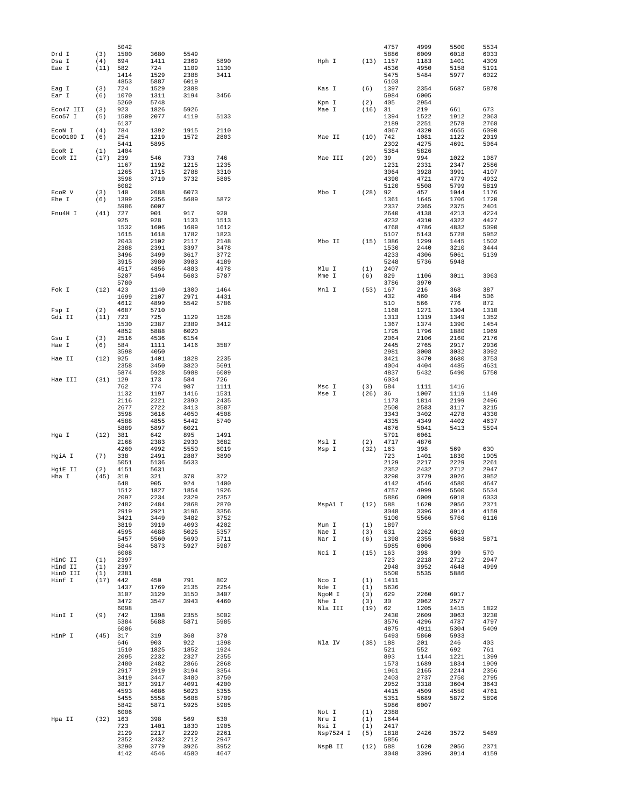|           |            | 5042         |              |              |              |                |           |             | 4757         | 4999         | 5500         | 5534         |
|-----------|------------|--------------|--------------|--------------|--------------|----------------|-----------|-------------|--------------|--------------|--------------|--------------|
| Drd I     | (3)        | 1500         | 3680         | 5549         |              |                |           |             | 5886         | 6009         | 6018         | 6033         |
| Dsa I     | (4)        | 694          | 1411         | 2369         | 5890         | Hph I          |           | (13)        | 1157         | 1183         | 1401         | 4309         |
| Eae I     | (11)       | 582          | 724          | 1109         | 1130         |                |           |             | 4536         | 4950         | 5158         | 5191         |
|           |            | 1414         | 1529         | 2388         | 3411         |                |           |             | 5475         | 5484         | 5977         | 6022         |
| Eag I     | (3)        | 4853<br>724  | 5887<br>1529 | 6019<br>2388 |              | Kas I          |           | (6)         | 6103<br>1397 | 2354         | 5687         | 5870         |
| Ear I     | (6)        | 1070         | 1311         | 3194         | 3456         |                |           |             | 5984         | 6005         |              |              |
|           |            | 5260         | 5748         |              |              | Kpn I          |           | (2)         | 405          | 2954         |              |              |
| Eco47 III | (3)        | 923          | 1826         | 5926         |              | Mae I          |           | (16)        | 31           | 219          | 661          | 673          |
| Eco57 I   | (5)        | 1509         | 2077         | 4119         | 5133         |                |           |             | 1394         | 1522         | 1912         | 2063         |
|           |            | 6137         |              |              |              |                |           |             | 2189         | 2251         | 2578         | 2768         |
| ECON I    | (4)        | 784          | 1392         | 1915         | 2110         |                |           |             | 4067         | 4320         | 4655         | 6090         |
| Eco0109 I | (6)        | 254          | 1219         | 1572         | 2803         | Mae II         |           | (10)        | 742          | 1081         | 1122         | 2019         |
|           |            | 5441         | 5895         |              |              |                |           |             | 2302         | 4275         | 4691         | 5064         |
| ECOR I    | (1)        | 1404         |              |              |              |                |           |             | 5384         | 5826         |              |              |
| ECOR II   | (17)       | 239          | 546          | 733          | 746          |                | Mae III   | (20)        | 39           | 994          | 1022         | 1087         |
|           |            | 1167<br>1265 | 1192<br>1715 | 1215<br>2788 | 1235<br>3310 |                |           |             | 1231<br>3064 | 2331<br>3928 | 2347<br>3991 | 2586<br>4107 |
|           |            | 3598         | 3719         | 3732         | 5805         |                |           |             | 4390         | 4721         | 4779         | 4932         |
|           |            | 6082         |              |              |              |                |           |             | 5120         | 5508         | 5799         | 5819         |
| ECOR V    | (3)        | 140          | 2688         | 6073         |              | Mbo I          |           | (28)        | 92           | 457          | 1044         | 1176         |
| Ehe I     | (6)        | 1399         | 2356         | 5689         | 5872         |                |           |             | 1361         | 1645         | 1706         | 1720         |
|           |            | 5986         | 6007         |              |              |                |           |             | 2337         | 2365         | 2375         | 2401         |
| Fnu4H I   | (41)       | 727          | 901          | 917          | 920          |                |           |             | 2640         | 4138         | 4213         | 4224         |
|           |            | 925          | 928          | 1133         | 1513         |                |           |             | 4232         | 4310         | 4322         | 4427         |
|           |            | 1532         | 1606         | 1609         | 1612         |                |           |             | 4768         | 4786         | 4832         | 5090         |
|           |            | 1615         | 1618         | 1782         | 1823         |                |           |             | 5107         | 5143         | 5728         | 5952         |
|           |            | 2043         | 2102         | 2117         | 2148         | Mbo II         |           | (15)        | 1086         | 1299         | 1445         | 1502         |
|           |            | 2388         | 2391         | 3397         | 3478         |                |           |             | 1530         | 2440         | 3210         | 3444         |
|           |            | 3496         | 3499         | 3617         | 3772         |                |           |             | 4233         | 4306         | 5061         | 5139         |
|           |            | 3915<br>4517 | 3980<br>4856 | 3983<br>4883 | 4189<br>4978 |                |           | (1)         | 5248<br>2407 | 5736         | 5948         |              |
|           |            | 5207         | 5494         | 5603         | 5707         | Mlu I<br>Mme I |           | (6)         | 829          | 1106         | 3011         | 3063         |
|           |            | 5780         |              |              |              |                |           |             | 3786         | 3970         |              |              |
| Fok I     | (12)       | 423          | 1140         | 1300         | 1464         | Mnl I          |           | (53)        | 167          | 216          | 368          | 387          |
|           |            | 1699         | 2107         | 2971         | 4431         |                |           |             | 432          | 460          | 484          | 506          |
|           |            | 4612         | 4899         | 5542         | 5786         |                |           |             | 510          | 566          | 776          | 872          |
| Fsp I     | (2)        | 4687         | 5710         |              |              |                |           |             | 1168         | 1271         | 1304         | 1310         |
| Gdi II    | (11)       | 723          | 725          | 1129         | 1528         |                |           |             | 1313         | 1319         | 1349         | 1352         |
|           |            | 1530         | 2387         | 2389         | 3412         |                |           |             | 1367         | 1374         | 1390         | 1454         |
|           |            | 4852         | 5888         | 6020         |              |                |           |             | 1795         | 1796         | 1880         | 1969         |
| Gsu I     | (3)        | 2516         | 4536         | 6154         |              |                |           |             | 2064         | 2106         | 2160         | 2176         |
| Hae I     | (6)        | 584          | 1111         | 1416         | 3587         |                |           |             | 2445         | 2765         | 2917         | 2936         |
|           |            | 3598         | 4050         |              |              |                |           |             | 2981         | 3008         | 3032         | 3092         |
| Hae II    | (12)       | 925          | 1401         | 1828         | 2235         |                |           |             | 3421         | 3470         | 3680         | 3753         |
|           |            | 2358         | 3450         | 3820         | 5691         |                |           |             | 4004         | 4404         | 4485         | 4631         |
|           |            | 5874         | 5928         | 5988         | 6009         |                |           |             | 4837         | 5432         | 5490         | 5750         |
| Hae III   | (31)       | 129          | 173          | 584          | 726          |                |           |             | 6034         |              |              |              |
|           |            | 762<br>1132  | 774<br>1197  | 987<br>1416  | 1111<br>1531 | Msc I<br>Mse I |           | (3)<br>(26) | 584<br>36    | 1111<br>1007 | 1416<br>1119 | 1149         |
|           |            | 2116         | 2221         | 2390         | 2435         |                |           |             | 1173         | 1814         | 2199         | 2496         |
|           |            | 2677         | 2722         | 3413         | 3587         |                |           |             | 2500         | 2583         | 3117         | 3215         |
|           |            | 3598         | 3616         | 4050         | 4508         |                |           |             | 3343         | 3402         | 4278         | 4330         |
|           |            | 4588         | 4855         | 5442         | 5740         |                |           |             | 4335         | 4349         | 4402         | 4637         |
|           |            | 5889         | 5897         | 6021         |              |                |           |             | 4676         | 5041         | 5413         | 5594         |
| Hga I     | (12)       | 381          | 642          | 895          | 1491         |                |           |             | 5791         | 6061         |              |              |
|           |            | 2168         | 2383         | 2930         | 3682         | Msl I          |           | (2)         | 4717         | 4876         |              |              |
|           |            | 4260         | 4992         | 5550         | 6019         | Msp I          |           | (32)        | 163          | 398          | 569          | 630          |
| HgiA I    | (7)        | 338          | 2491         | 2887         | 3890         |                |           |             | 723          | 1401         | 1830         | 1905         |
|           |            | 5051         | 5136         | 5633         |              |                |           |             | 2129         | 2217         | 2229         | 2261         |
| HgiE II   | (2)        | 4151         | 5631         |              |              |                |           |             | 2352         | 2432         | 2712         | 2947         |
| Hha I     | (45)       | 319          | 321          | 370          | 372          |                |           |             | 3290         | 3779         | 3926         | 3952         |
|           |            | 648          | 905          | 924          | 1400         |                |           |             | 4142         | 4546         | 4580         | 4647         |
|           |            | 1512<br>2097 | 1827<br>2234 | 1854<br>2329 | 1926<br>2357 |                |           |             | 4757<br>5886 | 4999<br>6009 | 5500<br>6018 | 5534<br>6033 |
|           |            | 2482         | 2484         | 2868         | 2870         |                | MspAl I   | (12)        | 588          | 1620         | 2056         | 2371         |
|           |            | 2919         | 2921         | 3196         | 3356         |                |           |             | 3048         | 3396         | 3914         | 4159         |
|           |            | 3421         | 3449         | 3482         | 3752         |                |           |             | 5100         | 5566         | 5760         | 6116         |
|           |            | 3819         | 3919         | 4093         | 4202         | Mun I          |           | (1)         | 1897         |              |              |              |
|           |            | 4595         | 4688         | 5025         | 5357         | Nae I          |           | (3)         | 631          | 2262         | 6019         |              |
|           |            | 5457         | 5560         | 5690         | 5711         | Nar I          |           | (6)         | 1398         | 2355         | 5688         | 5871         |
|           |            | 5844         | 5873         | 5927         | 5987         |                |           |             | 5985         | 6006         |              |              |
|           |            | 6008         |              |              |              | Nci I          |           | $(15)$ 163  |              | 398          | 399          | 570          |
| HinC II   | (1)        | 2397         |              |              |              |                |           |             | 723          | 2218         | 2712         | 2947         |
| Hind II   | (1)        | 2397         |              |              |              |                |           |             | 2948         | 3952         | 4648         | 4999         |
| HinD III  | (1)        | 2381         |              |              |              |                |           |             | 5500         | 5535         | 5886         |              |
| Hinf I    | (17)       | 442<br>1437  | 450<br>1769  | 791<br>2135  | 802<br>2254  | Nco I<br>Nde I |           | (1)<br>(1)  | 1411<br>5636 |              |              |              |
|           |            | 3107         | 3129         | 3150         | 3407         | NgoM I         |           | (3)         | 629          | 2260         | 6017         |              |
|           |            | 3472         | 3547         | 3943         | 4460         | Nhe I          |           | (3)         | 30           | 2062         | 2577         |              |
|           |            | 6098         |              |              |              |                | Nla III   | (19)        | 62           | 1205         | 1415         | 1822         |
| HinI I    | (9)        | 742          | 1398         | 2355         | 5002         |                |           |             | 2430         | 2609         | 3063         | 3230         |
|           |            | 5384         | 5688         | 5871         | 5985         |                |           |             | 3576         | 4296         | 4787         | 4797         |
|           |            | 6006         |              |              |              |                |           |             | 4875         | 4911         | 5304         | 5409         |
| HinP I    | (45)       | 317          | 319          | 368          | 370          |                |           |             | 5493         | 5860         | 5933         |              |
|           |            | 646          | 903          | 922          | 1398         | Nla IV         |           | (38)        | 188          | 201          | 246          | 403          |
|           |            | 1510         | 1825         | 1852         | 1924         |                |           |             | 521          | 552          | 692          | 761          |
|           |            | 2095         | 2232         | 2327         | 2355         |                |           |             | 893          | 1144         | 1221         | 1399         |
|           |            | 2480         | 2482         | 2866         | 2868         |                |           |             | 1573         | 1689         | 1834         | 1909         |
|           |            | 2917         | 2919         | 3194         | 3354         |                |           |             | 1961         | 2165         | 2244         | 2356         |
|           |            | 3419         | 3447         | 3480         | 3750         |                |           |             | 2403         | 2737         | 2750         | 2795         |
|           |            | 3817         | 3917         | 4091         | 4200         |                |           |             | 2952         | 3318         | 3604         | 3643         |
|           |            | 4593         | 4686         | 5023         | 5355         |                |           |             | 4415         | 4509         | 4550         | 4761         |
|           |            | 5455<br>5842 | 5558<br>5871 | 5688<br>5925 | 5709<br>5985 |                |           |             | 5351<br>5986 | 5689<br>6007 | 5872         | 5896         |
|           |            | 6006         |              |              |              | Not I          |           | (1)         | 2388         |              |              |              |
| Hpa II    | $(32)$ 163 |              | 398          | 569          | 630          | Nru I          |           | (1)         | 1644         |              |              |              |
|           |            | 723          | 1401         | 1830         | 1905         | Nsi I          |           | (1)         | 2417         |              |              |              |
|           |            | 2129         | 2217         | 2229         | 2261         |                | Nsp7524 I | (5)         | 1818         | 2426         | 3572         | 5489         |
|           |            | 2352         | 2432         | 2712         | 2947         |                |           |             | 5856         |              |              |              |
|           |            | 3290         | 3779         | 3926         | 3952         |                | NspB II   | (12)        | 588          | 1620         | 2056         | 2371         |
|           |            | 4142         | 4546         | 4580         | 4647         |                |           |             | 3048         | 3396         | 3914         | 4159         |